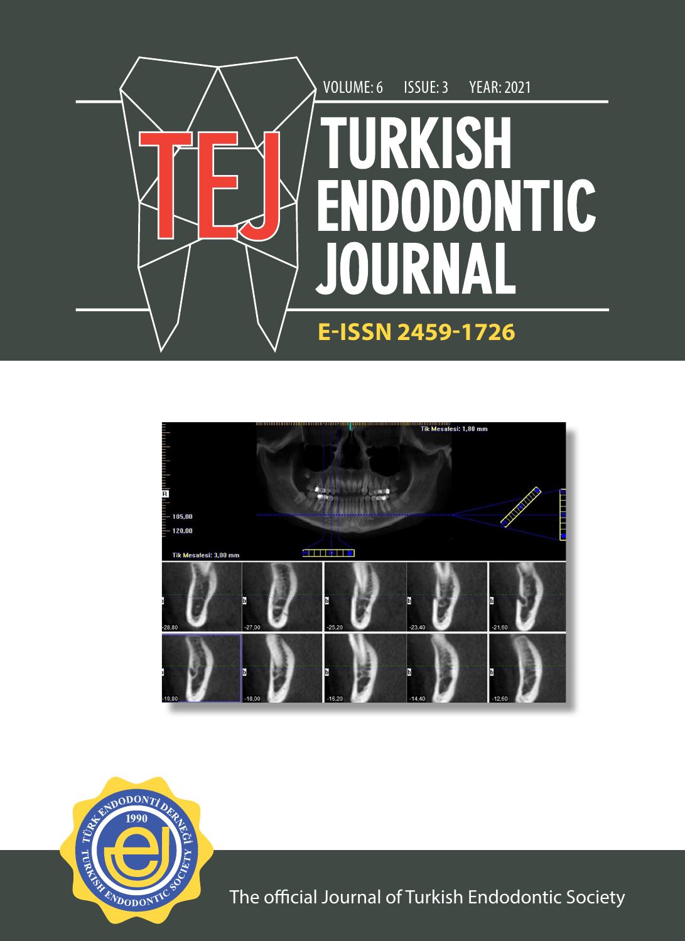





The official Journal of Turkish Endodontic Society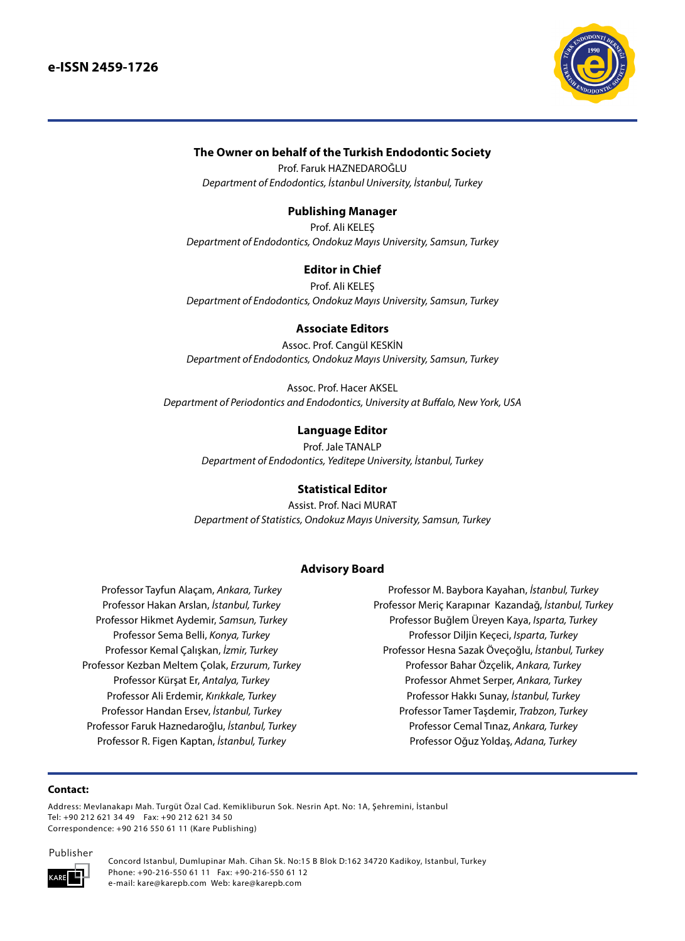

## **The Owner on behalf of the Turkish Endodontic Society**

Prof. Faruk HAZNEDAROĞLU *Department of Endodontics, İstanbul University, İstanbul, Turkey*

## **Publishing Manager**

Prof. Ali KELEŞ *Department of Endodontics, Ondokuz Mayıs University, Samsun, Turkey*

## **Editor in Chief**

Prof. Ali KELEŞ *Department of Endodontics, Ondokuz Mayıs University, Samsun, Turkey*

#### **Associate Editors**

Assoc. Prof. Cangül KESKİN *Department of Endodontics, Ondokuz Mayıs University, Samsun, Turkey*

Assoc. Prof. Hacer AKSEL *Department of Periodontics and Endodontics, University at Buffalo, New York, USA*

#### **Language Editor**

Prof. Jale TANALP

*Department of Endodontics, Yeditepe University, İstanbul, Turkey*

#### **Statistical Editor**

Assist. Prof. Naci MURAT *Department of Statistics, Ondokuz Mayıs University, Samsun, Turkey*

#### **Advisory Board**

Professor Tayfun Alaçam, *Ankara, Turkey* Professor Hakan Arslan, *İstanbul, Turkey* Professor Hikmet Aydemir, *Samsun, Turkey* Professor Sema Belli, *Konya, Turkey* Professor Kemal Çalışkan, *İzmir, Turkey* Professor Kezban Meltem Çolak, *Erzurum, Turkey* Professor Kürşat Er, *Antalya, Turkey* Professor Ali Erdemir, *Kırıkkale, Turkey* Professor Handan Ersev, *İstanbul, Turkey* Professor Faruk Haznedaroğlu, *İstanbul, Turkey* Professor R. Figen Kaptan, *İstanbul, Turkey*

Professor M. Baybora Kayahan, *İstanbul, Turkey* Professor Meriç Karapınar Kazandağ, *İstanbul, Turkey* Professor Buğlem Üreyen Kaya, *Isparta, Turkey* Professor Diljin Keçeci, *Isparta, Turkey* Professor Hesna Sazak Öveçoğlu, *İstanbul, Turkey* Professor Bahar Özçelik, *Ankara, Turkey* Professor Ahmet Serper, *Ankara, Turkey* Professor Hakkı Sunay, *İstanbul, Turkey* Professor Tamer Taşdemir, *Trabzon, Turkey* Professor Cemal Tınaz, *Ankara, Turkey* Professor Oğuz Yoldaş, *Adana, Turkey*

#### **Contact:**

Address: Mevlanakapı Mah. Turgüt Özal Cad. Kemikliburun Sok. Nesrin Apt. No: 1A, Şehremini, İstanbul Tel: +90 212 621 34 49 Fax: +90 212 621 34 50 Correspondence: +90 216 550 61 11 (Kare Publishing)

Publisher



Concord Istanbul, Dumlupinar Mah. Cihan Sk. No:15 B Blok D:162 34720 Kadikoy, Istanbul, Turkey Phone: +90-216-550 61 11 Fax: +90-216-550 61 12 e-mail: kare@karepb.com Web: kare@karepb.com